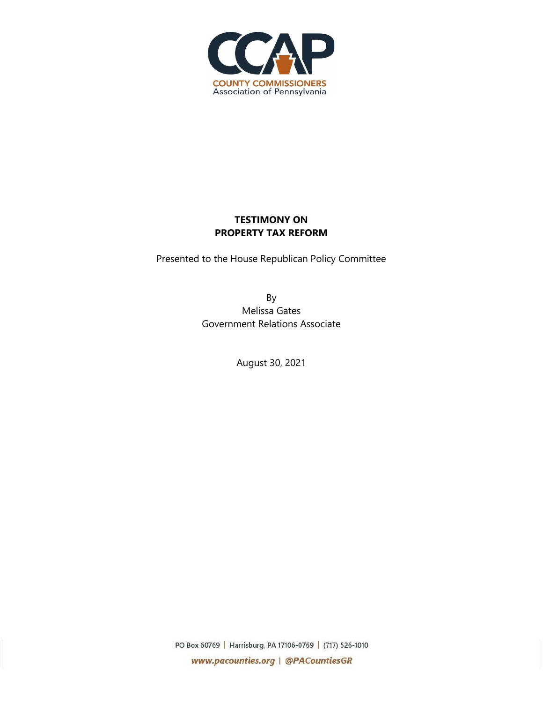

## **TESTIMONY ON PROPERTY TAX REFORM**

Presented to the House Republican Policy Committee

By Melissa Gates Government Relations Associate

August 30, 2021

PO Box 60769 | Harrisburg, PA 17106-0769 | (717) 526-1010 www.pacounties.org | @PACountiesGR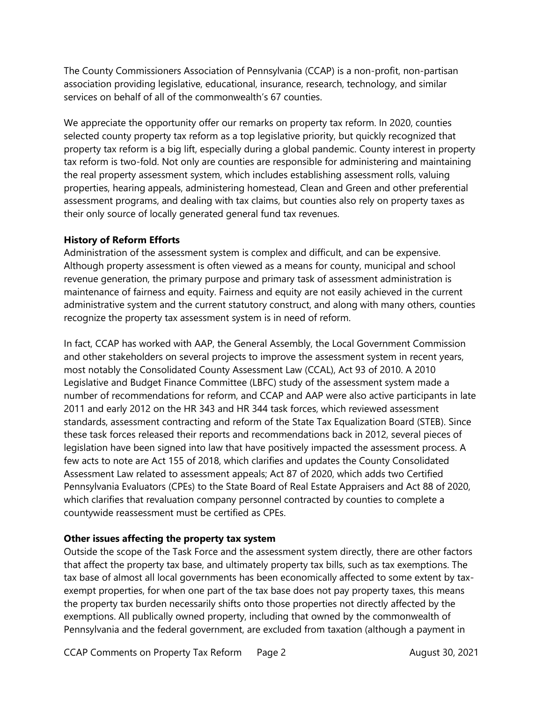The County Commissioners Association of Pennsylvania (CCAP) is a non-profit, non-partisan association providing legislative, educational, insurance, research, technology, and similar services on behalf of all of the commonwealth's 67 counties.

We appreciate the opportunity offer our remarks on property tax reform. In 2020, counties selected county property tax reform as a top legislative priority, but quickly recognized that property tax reform is a big lift, especially during a global pandemic. County interest in property tax reform is two-fold. Not only are counties are responsible for administering and maintaining the real property assessment system, which includes establishing assessment rolls, valuing properties, hearing appeals, administering homestead, Clean and Green and other preferential assessment programs, and dealing with tax claims, but counties also rely on property taxes as their only source of locally generated general fund tax revenues.

## **History of Reform Efforts**

Administration of the assessment system is complex and difficult, and can be expensive. Although property assessment is often viewed as a means for county, municipal and school revenue generation, the primary purpose and primary task of assessment administration is maintenance of fairness and equity. Fairness and equity are not easily achieved in the current administrative system and the current statutory construct, and along with many others, counties recognize the property tax assessment system is in need of reform.

In fact, CCAP has worked with AAP, the General Assembly, the Local Government Commission and other stakeholders on several projects to improve the assessment system in recent years, most notably the Consolidated County Assessment Law (CCAL), Act 93 of 2010. A 2010 Legislative and Budget Finance Committee (LBFC) study of the assessment system made a number of recommendations for reform, and CCAP and AAP were also active participants in late 2011 and early 2012 on the HR 343 and HR 344 task forces, which reviewed assessment standards, assessment contracting and reform of the State Tax Equalization Board (STEB). Since these task forces released their reports and recommendations back in 2012, several pieces of legislation have been signed into law that have positively impacted the assessment process. A few acts to note are Act 155 of 2018, which clarifies and updates the County Consolidated Assessment Law related to assessment appeals; Act 87 of 2020, which adds two Certified Pennsylvania Evaluators (CPEs) to the State Board of Real Estate Appraisers and Act 88 of 2020, which clarifies that revaluation company personnel contracted by counties to complete a countywide reassessment must be certified as CPEs.

## **Other issues affecting the property tax system**

Outside the scope of the Task Force and the assessment system directly, there are other factors that affect the property tax base, and ultimately property tax bills, such as tax exemptions. The tax base of almost all local governments has been economically affected to some extent by taxexempt properties, for when one part of the tax base does not pay property taxes, this means the property tax burden necessarily shifts onto those properties not directly affected by the exemptions. All publically owned property, including that owned by the commonwealth of Pennsylvania and the federal government, are excluded from taxation (although a payment in

CCAP Comments on Property Tax Reform Page 2 August 30, 2021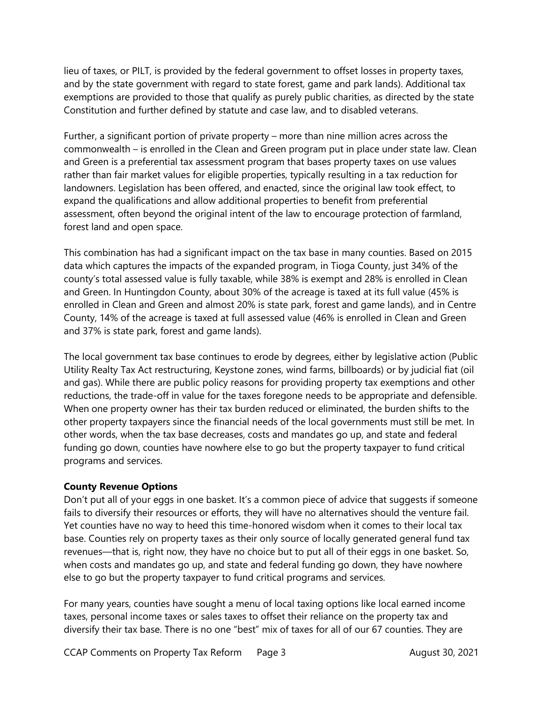lieu of taxes, or PILT, is provided by the federal government to offset losses in property taxes, and by the state government with regard to state forest, game and park lands). Additional tax exemptions are provided to those that qualify as purely public charities, as directed by the state Constitution and further defined by statute and case law, and to disabled veterans.

Further, a significant portion of private property – more than nine million acres across the commonwealth – is enrolled in the Clean and Green program put in place under state law. Clean and Green is a preferential tax assessment program that bases property taxes on use values rather than fair market values for eligible properties, typically resulting in a tax reduction for landowners. Legislation has been offered, and enacted, since the original law took effect, to expand the qualifications and allow additional properties to benefit from preferential assessment, often beyond the original intent of the law to encourage protection of farmland, forest land and open space.

This combination has had a significant impact on the tax base in many counties. Based on 2015 data which captures the impacts of the expanded program, in Tioga County, just 34% of the county's total assessed value is fully taxable, while 38% is exempt and 28% is enrolled in Clean and Green. In Huntingdon County, about 30% of the acreage is taxed at its full value (45% is enrolled in Clean and Green and almost 20% is state park, forest and game lands), and in Centre County, 14% of the acreage is taxed at full assessed value (46% is enrolled in Clean and Green and 37% is state park, forest and game lands).

The local government tax base continues to erode by degrees, either by legislative action (Public Utility Realty Tax Act restructuring, Keystone zones, wind farms, billboards) or by judicial fiat (oil and gas). While there are public policy reasons for providing property tax exemptions and other reductions, the trade-off in value for the taxes foregone needs to be appropriate and defensible. When one property owner has their tax burden reduced or eliminated, the burden shifts to the other property taxpayers since the financial needs of the local governments must still be met. In other words, when the tax base decreases, costs and mandates go up, and state and federal funding go down, counties have nowhere else to go but the property taxpayer to fund critical programs and services.

## **County Revenue Options**

Don't put all of your eggs in one basket. It's a common piece of advice that suggests if someone fails to diversify their resources or efforts, they will have no alternatives should the venture fail. Yet counties have no way to heed this time-honored wisdom when it comes to their local tax base. Counties rely on property taxes as their only source of locally generated general fund tax revenues—that is, right now, they have no choice but to put all of their eggs in one basket. So, when costs and mandates go up, and state and federal funding go down, they have nowhere else to go but the property taxpayer to fund critical programs and services.

For many years, counties have sought a menu of local taxing options like local earned income taxes, personal income taxes or sales taxes to offset their reliance on the property tax and diversify their tax base. There is no one "best" mix of taxes for all of our 67 counties. They are

CCAP Comments on Property Tax Reform Page 3 August 30, 2021